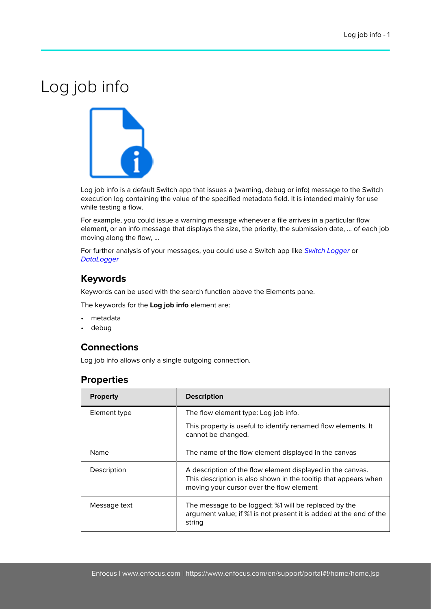## Log job info



Log job info is a default Switch app that issues a (warning, debug or info) message to the Switch execution log containing the value of the specified metadata field. It is intended mainly for use while testing a flow.

For example, you could issue a warning message whenever a file arrives in a particular flow element, or an info message that displays the size, the priority, the submission date, … of each job moving along the flow, ...

For further analysis of your messages, you could use a Switch app like [Switch Logger](https://www.enfocus.com/en/appstore/product/switch-logger) or **[DataLogger](https://www.enfocus.com/en/appstore/product/datalogger)** 

## **Keywords**

Keywords can be used with the search function above the Elements pane.

The keywords for the **Log job info** element are:

- metadata
- debug

## **Connections**

Log job info allows only a single outgoing connection.

## **Properties**

| <b>Property</b> | <b>Description</b>                                                                                                                                                        |
|-----------------|---------------------------------------------------------------------------------------------------------------------------------------------------------------------------|
| Element type    | The flow element type: Log job info.                                                                                                                                      |
|                 | This property is useful to identify renamed flow elements. It<br>cannot be changed.                                                                                       |
| Name            | The name of the flow element displayed in the canvas                                                                                                                      |
| Description     | A description of the flow element displayed in the canvas.<br>This description is also shown in the tooltip that appears when<br>moving your cursor over the flow element |
| Message text    | The message to be logged; %1 will be replaced by the<br>argument value; if %1 is not present it is added at the end of the<br>string                                      |